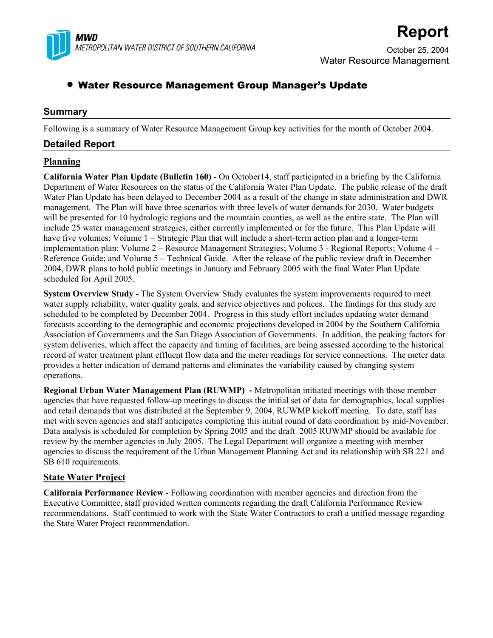

# **Report**

October 25, 2004 Water Resource Management

# • Water Resource Management Group Manager's Update

# **Summary**

Following is a summary of Water Resource Management Group key activities for the month of October 2004.

# **Detailed Report**

# **Planning**

**California Water Plan Update (Bulletin 160)** - On October14, staff participated in a briefing by the California Department of Water Resources on the status of the California Water Plan Update. The public release of the draft Water Plan Update has been delayed to December 2004 as a result of the change in state administration and DWR management. The Plan will have three scenarios with three levels of water demands for 2030. Water budgets will be presented for 10 hydrologic regions and the mountain counties, as well as the entire state. The Plan will include 25 water management strategies, either currently implemented or for the future. This Plan Update will have five volumes: Volume 1 – Strategic Plan that will include a short-term action plan and a longer-term implementation plan; Volume 2 – Resource Management Strategies; Volume 3 - Regional Reports; Volume 4 – Reference Guide; and Volume 5 – Technical Guide. After the release of the public review draft in December 2004, DWR plans to hold public meetings in January and February 2005 with the final Water Plan Update scheduled for April 2005.

**System Overview Study -** The System Overview Study evaluates the system improvements required to meet water supply reliability, water quality goals, and service objectives and polices. The findings for this study are scheduled to be completed by December 2004. Progress in this study effort includes updating water demand forecasts according to the demographic and economic projections developed in 2004 by the Southern California Association of Governments and the San Diego Association of Governments. In addition, the peaking factors for system deliveries, which affect the capacity and timing of facilities, are being assessed according to the historical record of water treatment plant effluent flow data and the meter readings for service connections. The meter data provides a better indication of demand patterns and eliminates the variability caused by changing system operations.

**Regional Urban Water Management Plan (RUWMP) -** Metropolitan initiated meetings with those member agencies that have requested follow-up meetings to discuss the initial set of data for demographics, local supplies and retail demands that was distributed at the September 9, 2004, RUWMP kickoff meeting. To date, staff has met with seven agencies and staff anticipates completing this initial round of data coordination by mid-November. Data analysis is scheduled for completion by Spring 2005 and the draft 2005 RUWMP should be available for review by the member agencies in July 2005. The Legal Department will organize a meeting with member agencies to discuss the requirement of the Urban Management Planning Act and its relationship with SB 221 and SB 610 requirements.

### **State Water Project**

**California Performance Review** - Following coordination with member agencies and direction from the Executive Committee, staff provided written comments regarding the draft California Performance Review recommendations. Staff continued to work with the State Water Contractors to craft a unified message regarding the State Water Project recommendation.